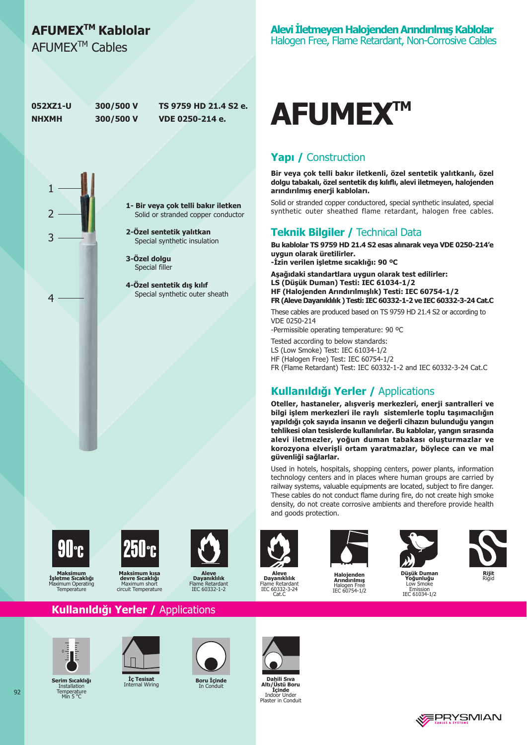## AFUMEX<sup>™</sup> Kablolar

AFUMFX<sup>™</sup> Cables

**052871-U NHXMH** 

 $\mathbf{1}$ 

2

3

 $\overline{4}$ 

300/500 V 300/500 V

TS 9759 HD 21.4 S2 e. VDE 0250-214 e.

1- Bir veya çok telli bakır iletken Solid or stranded copper conductor

> 2-Özel sentetik yalıtkan Special synthetic insulation

3-Özel dolau Special filler

4-Özel sentetik dış kılıf Special synthetic outer sheath



#### Yapı / Construction

Bir veya çok telli bakır iletkenli, özel sentetik yalıtkanlı, özel dolgu tabakalı, özel sentetik dış kılıflı, alevi iletmeyen, halojenden arındırılmış enerji kabloları.

Solid or stranded copper conductored, special synthetic insulated, special synthetic outer sheathed flame retardant, halogen free cables.

#### **Teknik Bilgiler / Technical Data**

Bu kablolar TS 9759 HD 21.4 S2 esas alınarak veya VDE 0250-214'e uvgun olarak üretilirler.

-İzin verilen işletme sıcaklığı: 90 °C

Aşağıdaki standartlara uygun olarak test edilirler: LS (Düşük Duman) Testi: IEC 61034-1/2 HF (Halojenden Arındırılmışlık) Testi: IEC 60754-1/2 FR (Aleve Dayanıklılık) Testi: IEC 60332-1-2 ve IEC 60332-3-24 Cat.C

These cables are produced based on TS 9759 HD 21.4 S2 or according to VDE 0250-214

-Permissible operating temperature: 90 °C

Tested according to below standards: LS (Low Smoke) Test: IEC 61034-1/2

HF (Halogen Free) Test: IEC 60754-1/2

FR (Flame Retardant) Test: IEC 60332-1-2 and IEC 60332-3-24 Cat.C

### Kullanıldığı Yerler / Applications

Oteller, hastaneler, alışveriş merkezleri, enerji santralleri ve bilgi islem merkezleri ile ravlı sistemlerle toplu tasımacılığın yapıldığı çok sayıda insanın ve değerli cihazın bulunduğu yangın tehlikesi olan tesislerde kullanılırlar. Bu kablolar, yangın sırasında alevi iletmezler, yoğun duman tabakası oluşturmazlar ve korozyona elverişli ortam yaratmazlar, böylece can ve mal güvenliği sağlarlar.

Used in hotels, hospitals, shopping centers, power plants, information technology centers and in places where human groups are carried by railway systems, valuable equipments are located, subject to fire danger. These cables do not conduct flame during fire, do not create high smoke density, do not create corrosive ambients and therefore provide health and goods protection.



Maksimun rraksınının<br>İşletme Sıcaklığı aximum Operating Temperature



Makeimum kie devre Sıcaklığı Maximum shoi circuit Temperature





**Aleve<br>Dayanıklılık**<br>Flame Retardant<br>IEC 60332-3-24 Cat.C



Haloienden

Arındırılmış

Halogen Free<br>IEC 60754-1/2





Düsük Duman işun Dunia<br>'oğunluğu Low Smo



Emission<br>IEC 61034-1/2







Serim Sıcaklığı **Installation** Temperature<br>Min 5 °C



Kullanıldığı Yerler / Applications

**Ic Tesisat** 



**Boru İçinde** 



Dahili Sıva Altı/Üstü Rom Altri Justin Boru<br>
Indoor Under<br>
Plaster in Conduit